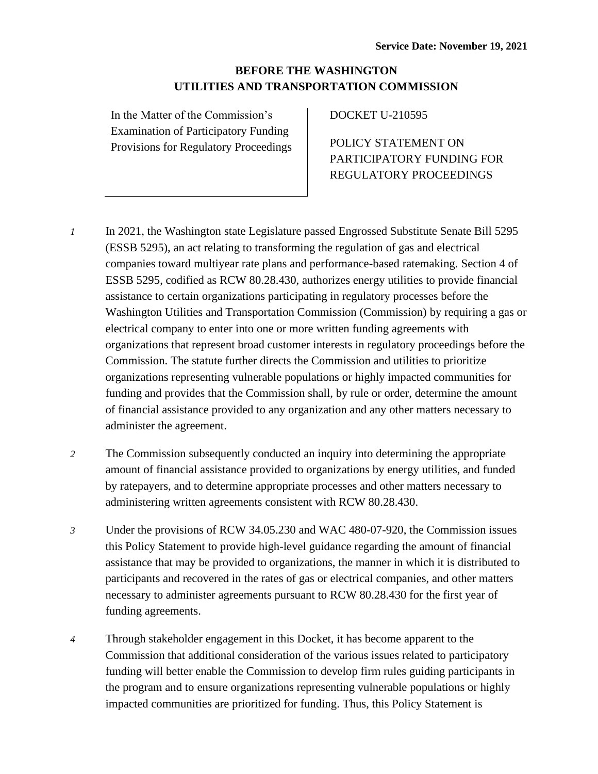# **BEFORE THE WASHINGTON UTILITIES AND TRANSPORTATION COMMISSION**

In the Matter of the Commission's Examination of Participatory Funding Provisions for Regulatory Proceedings DOCKET U-210595

POLICY STATEMENT ON PARTICIPATORY FUNDING FOR REGULATORY PROCEEDINGS

- *1* In 2021, the Washington state Legislature passed Engrossed Substitute Senate Bill 5295 (ESSB 5295), an act relating to transforming the regulation of gas and electrical companies toward multiyear rate plans and performance-based ratemaking. Section 4 of ESSB 5295, codified as RCW 80.28.430, authorizes energy utilities to provide financial assistance to certain organizations participating in regulatory processes before the Washington Utilities and Transportation Commission (Commission) by requiring a gas or electrical company to enter into one or more written funding agreements with organizations that represent broad customer interests in regulatory proceedings before the Commission. The statute further directs the Commission and utilities to prioritize organizations representing vulnerable populations or highly impacted communities for funding and provides that the Commission shall, by rule or order, determine the amount of financial assistance provided to any organization and any other matters necessary to administer the agreement.
- *2* The Commission subsequently conducted an inquiry into determining the appropriate amount of financial assistance provided to organizations by energy utilities, and funded by ratepayers, and to determine appropriate processes and other matters necessary to administering written agreements consistent with RCW 80.28.430.
- *3* Under the provisions of RCW 34.05.230 and WAC 480-07-920, the Commission issues this Policy Statement to provide high-level guidance regarding the amount of financial assistance that may be provided to organizations, the manner in which it is distributed to participants and recovered in the rates of gas or electrical companies, and other matters necessary to administer agreements pursuant to RCW 80.28.430 for the first year of funding agreements.
- *4* Through stakeholder engagement in this Docket, it has become apparent to the Commission that additional consideration of the various issues related to participatory funding will better enable the Commission to develop firm rules guiding participants in the program and to ensure organizations representing vulnerable populations or highly impacted communities are prioritized for funding. Thus, this Policy Statement is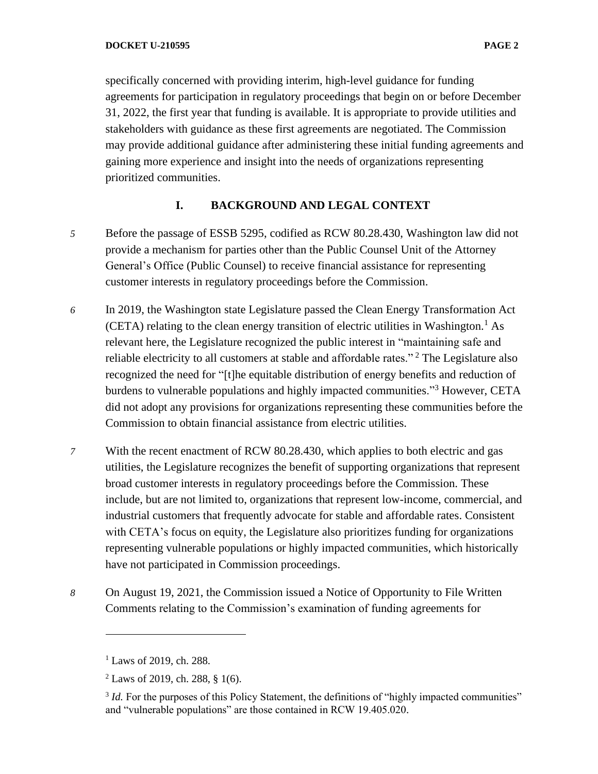specifically concerned with providing interim, high-level guidance for funding agreements for participation in regulatory proceedings that begin on or before December 31, 2022, the first year that funding is available. It is appropriate to provide utilities and stakeholders with guidance as these first agreements are negotiated. The Commission may provide additional guidance after administering these initial funding agreements and gaining more experience and insight into the needs of organizations representing prioritized communities.

# **I. BACKGROUND AND LEGAL CONTEXT**

- *5* Before the passage of ESSB 5295, codified as RCW 80.28.430, Washington law did not provide a mechanism for parties other than the Public Counsel Unit of the Attorney General's Office (Public Counsel) to receive financial assistance for representing customer interests in regulatory proceedings before the Commission.
- *6* In 2019, the Washington state Legislature passed the Clean Energy Transformation Act (CETA) relating to the clean energy transition of electric utilities in Washington.<sup>1</sup> As relevant here, the Legislature recognized the public interest in "maintaining safe and reliable electricity to all customers at stable and affordable rates."<sup>2</sup> The Legislature also recognized the need for "[t]he equitable distribution of energy benefits and reduction of burdens to vulnerable populations and highly impacted communities."<sup>3</sup> However, CETA did not adopt any provisions for organizations representing these communities before the Commission to obtain financial assistance from electric utilities.
- *7* With the recent enactment of RCW 80.28.430, which applies to both electric and gas utilities, the Legislature recognizes the benefit of supporting organizations that represent broad customer interests in regulatory proceedings before the Commission. These include, but are not limited to, organizations that represent low-income, commercial, and industrial customers that frequently advocate for stable and affordable rates. Consistent with CETA's focus on equity, the Legislature also prioritizes funding for organizations representing vulnerable populations or highly impacted communities, which historically have not participated in Commission proceedings.
- *8* On August 19, 2021, the Commission issued a Notice of Opportunity to File Written Comments relating to the Commission's examination of funding agreements for

 $1$  Laws of 2019, ch. 288.

 $2$  Laws of 2019, ch. 288, § 1(6).

<sup>&</sup>lt;sup>3</sup> *Id*. For the purposes of this Policy Statement, the definitions of "highly impacted communities" and "vulnerable populations" are those contained in RCW 19.405.020.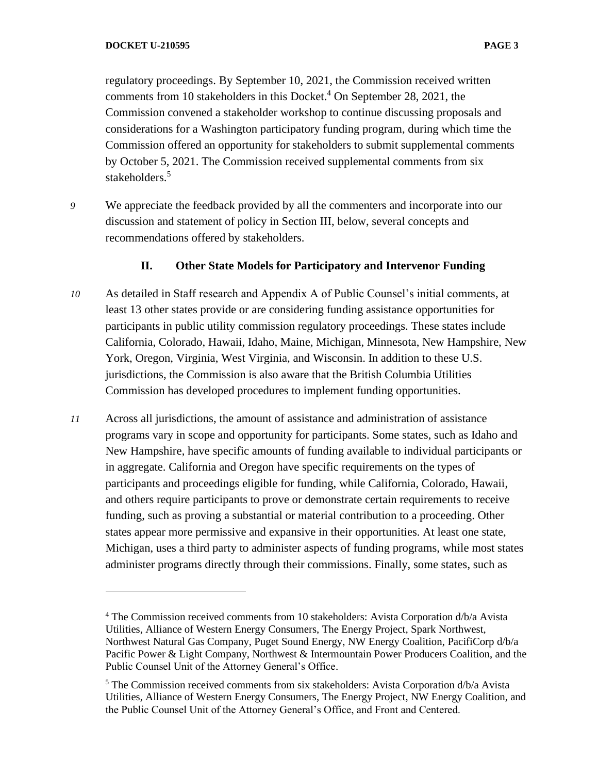regulatory proceedings. By September 10, 2021, the Commission received written comments from 10 stakeholders in this Docket. <sup>4</sup> On September 28, 2021, the Commission convened a stakeholder workshop to continue discussing proposals and considerations for a Washington participatory funding program, during which time the Commission offered an opportunity for stakeholders to submit supplemental comments by October 5, 2021. The Commission received supplemental comments from six stakeholders.<sup>5</sup>

*9* We appreciate the feedback provided by all the commenters and incorporate into our discussion and statement of policy in Section III, below, several concepts and recommendations offered by stakeholders.

# **II. Other State Models for Participatory and Intervenor Funding**

- *10* As detailed in Staff research and Appendix A of Public Counsel's initial comments, at least 13 other states provide or are considering funding assistance opportunities for participants in public utility commission regulatory proceedings. These states include California, Colorado, Hawaii, Idaho, Maine, Michigan, Minnesota, New Hampshire, New York, Oregon, Virginia, West Virginia, and Wisconsin. In addition to these U.S. jurisdictions, the Commission is also aware that the British Columbia Utilities Commission has developed procedures to implement funding opportunities.
- *11* Across all jurisdictions, the amount of assistance and administration of assistance programs vary in scope and opportunity for participants. Some states, such as Idaho and New Hampshire, have specific amounts of funding available to individual participants or in aggregate. California and Oregon have specific requirements on the types of participants and proceedings eligible for funding, while California, Colorado, Hawaii, and others require participants to prove or demonstrate certain requirements to receive funding, such as proving a substantial or material contribution to a proceeding. Other states appear more permissive and expansive in their opportunities. At least one state, Michigan, uses a third party to administer aspects of funding programs, while most states administer programs directly through their commissions. Finally, some states, such as

<sup>4</sup> The Commission received comments from 10 stakeholders: Avista Corporation d/b/a Avista Utilities, Alliance of Western Energy Consumers, The Energy Project, Spark Northwest, Northwest Natural Gas Company, Puget Sound Energy, NW Energy Coalition, PacifiCorp d/b/a Pacific Power & Light Company, Northwest & Intermountain Power Producers Coalition, and the Public Counsel Unit of the Attorney General's Office.

<sup>&</sup>lt;sup>5</sup> The Commission received comments from six stakeholders: Avista Corporation  $d/b/a$  Avista Utilities, Alliance of Western Energy Consumers, The Energy Project, NW Energy Coalition, and the Public Counsel Unit of the Attorney General's Office, and Front and Centered.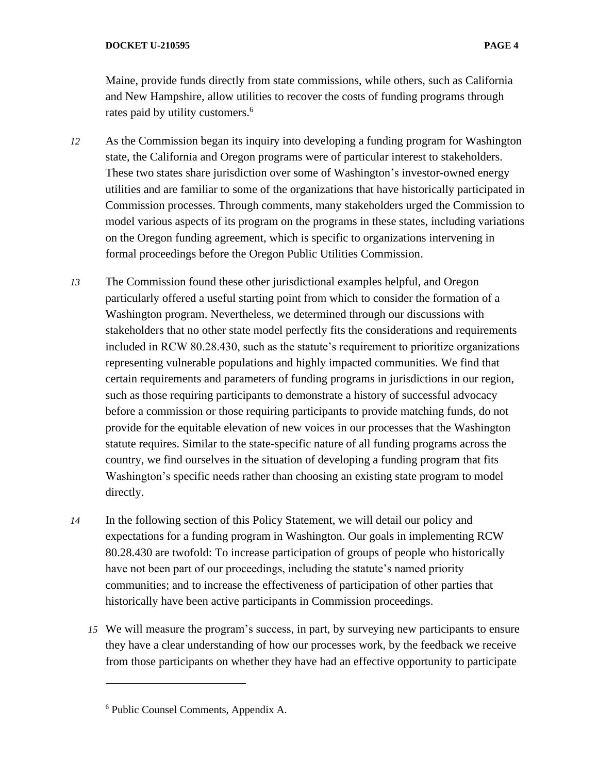Maine, provide funds directly from state commissions, while others, such as California and New Hampshire, allow utilities to recover the costs of funding programs through rates paid by utility customers.<sup>6</sup>

- *12* As the Commission began its inquiry into developing a funding program for Washington state, the California and Oregon programs were of particular interest to stakeholders. These two states share jurisdiction over some of Washington's investor-owned energy utilities and are familiar to some of the organizations that have historically participated in Commission processes. Through comments, many stakeholders urged the Commission to model various aspects of its program on the programs in these states, including variations on the Oregon funding agreement, which is specific to organizations intervening in formal proceedings before the Oregon Public Utilities Commission.
- *13* The Commission found these other jurisdictional examples helpful, and Oregon particularly offered a useful starting point from which to consider the formation of a Washington program. Nevertheless, we determined through our discussions with stakeholders that no other state model perfectly fits the considerations and requirements included in RCW 80.28.430, such as the statute's requirement to prioritize organizations representing vulnerable populations and highly impacted communities. We find that certain requirements and parameters of funding programs in jurisdictions in our region, such as those requiring participants to demonstrate a history of successful advocacy before a commission or those requiring participants to provide matching funds, do not provide for the equitable elevation of new voices in our processes that the Washington statute requires. Similar to the state-specific nature of all funding programs across the country, we find ourselves in the situation of developing a funding program that fits Washington's specific needs rather than choosing an existing state program to model directly.
- *14* In the following section of this Policy Statement, we will detail our policy and expectations for a funding program in Washington. Our goals in implementing RCW 80.28.430 are twofold: To increase participation of groups of people who historically have not been part of our proceedings, including the statute's named priority communities; and to increase the effectiveness of participation of other parties that historically have been active participants in Commission proceedings.
	- *15* We will measure the program's success, in part, by surveying new participants to ensure they have a clear understanding of how our processes work, by the feedback we receive from those participants on whether they have had an effective opportunity to participate

<sup>6</sup> Public Counsel Comments, Appendix A.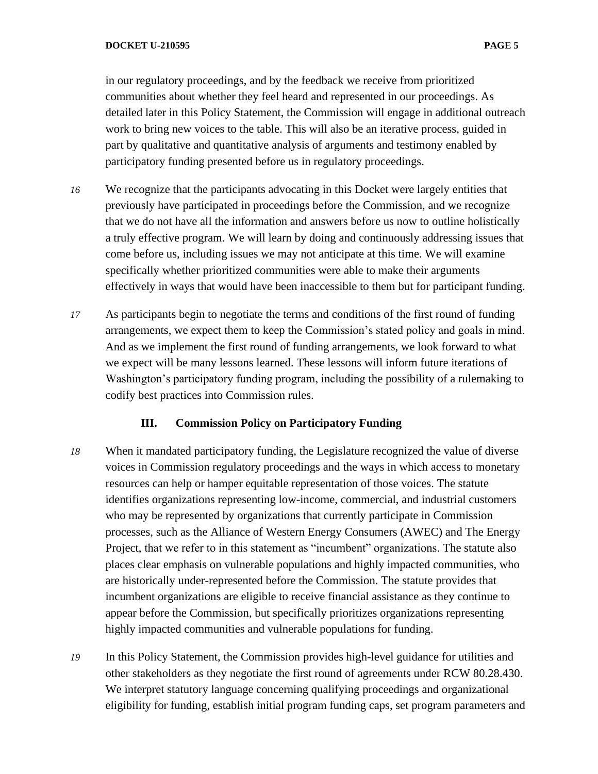in our regulatory proceedings, and by the feedback we receive from prioritized communities about whether they feel heard and represented in our proceedings. As detailed later in this Policy Statement, the Commission will engage in additional outreach work to bring new voices to the table. This will also be an iterative process, guided in part by qualitative and quantitative analysis of arguments and testimony enabled by participatory funding presented before us in regulatory proceedings.

- *16* We recognize that the participants advocating in this Docket were largely entities that previously have participated in proceedings before the Commission, and we recognize that we do not have all the information and answers before us now to outline holistically a truly effective program. We will learn by doing and continuously addressing issues that come before us, including issues we may not anticipate at this time. We will examine specifically whether prioritized communities were able to make their arguments effectively in ways that would have been inaccessible to them but for participant funding.
- *17* As participants begin to negotiate the terms and conditions of the first round of funding arrangements, we expect them to keep the Commission's stated policy and goals in mind. And as we implement the first round of funding arrangements, we look forward to what we expect will be many lessons learned. These lessons will inform future iterations of Washington's participatory funding program, including the possibility of a rulemaking to codify best practices into Commission rules.

# **III. Commission Policy on Participatory Funding**

- *18* When it mandated participatory funding, the Legislature recognized the value of diverse voices in Commission regulatory proceedings and the ways in which access to monetary resources can help or hamper equitable representation of those voices. The statute identifies organizations representing low-income, commercial, and industrial customers who may be represented by organizations that currently participate in Commission processes, such as the Alliance of Western Energy Consumers (AWEC) and The Energy Project, that we refer to in this statement as "incumbent" organizations. The statute also places clear emphasis on vulnerable populations and highly impacted communities, who are historically under-represented before the Commission. The statute provides that incumbent organizations are eligible to receive financial assistance as they continue to appear before the Commission, but specifically prioritizes organizations representing highly impacted communities and vulnerable populations for funding.
- *19* In this Policy Statement, the Commission provides high-level guidance for utilities and other stakeholders as they negotiate the first round of agreements under RCW 80.28.430. We interpret statutory language concerning qualifying proceedings and organizational eligibility for funding, establish initial program funding caps, set program parameters and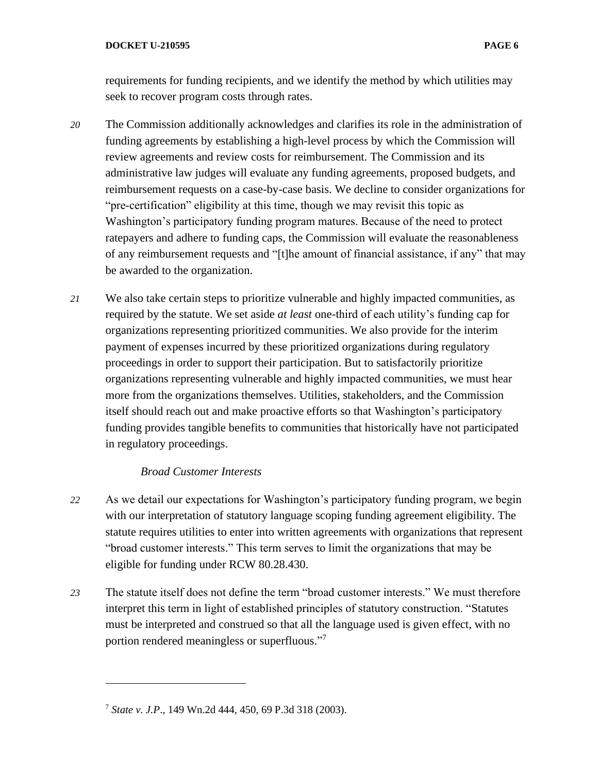requirements for funding recipients, and we identify the method by which utilities may seek to recover program costs through rates.

- *20* The Commission additionally acknowledges and clarifies its role in the administration of funding agreements by establishing a high-level process by which the Commission will review agreements and review costs for reimbursement. The Commission and its administrative law judges will evaluate any funding agreements, proposed budgets, and reimbursement requests on a case-by-case basis. We decline to consider organizations for "pre-certification" eligibility at this time, though we may revisit this topic as Washington's participatory funding program matures. Because of the need to protect ratepayers and adhere to funding caps, the Commission will evaluate the reasonableness of any reimbursement requests and "[t]he amount of financial assistance, if any" that may be awarded to the organization.
- *21* We also take certain steps to prioritize vulnerable and highly impacted communities, as required by the statute. We set aside *at least* one-third of each utility's funding cap for organizations representing prioritized communities. We also provide for the interim payment of expenses incurred by these prioritized organizations during regulatory proceedings in order to support their participation. But to satisfactorily prioritize organizations representing vulnerable and highly impacted communities, we must hear more from the organizations themselves. Utilities, stakeholders, and the Commission itself should reach out and make proactive efforts so that Washington's participatory funding provides tangible benefits to communities that historically have not participated in regulatory proceedings.

### *Broad Customer Interests*

- *22* As we detail our expectations for Washington's participatory funding program, we begin with our interpretation of statutory language scoping funding agreement eligibility. The statute requires utilities to enter into written agreements with organizations that represent "broad customer interests." This term serves to limit the organizations that may be eligible for funding under RCW 80.28.430.
- *23* The statute itself does not define the term "broad customer interests." We must therefore interpret this term in light of established principles of statutory construction. "Statutes must be interpreted and construed so that all the language used is given effect, with no portion rendered meaningless or superfluous."<sup>7</sup>

<sup>7</sup> *State v. J.P*., 149 Wn.2d 444, 450, 69 P.3d 318 (2003).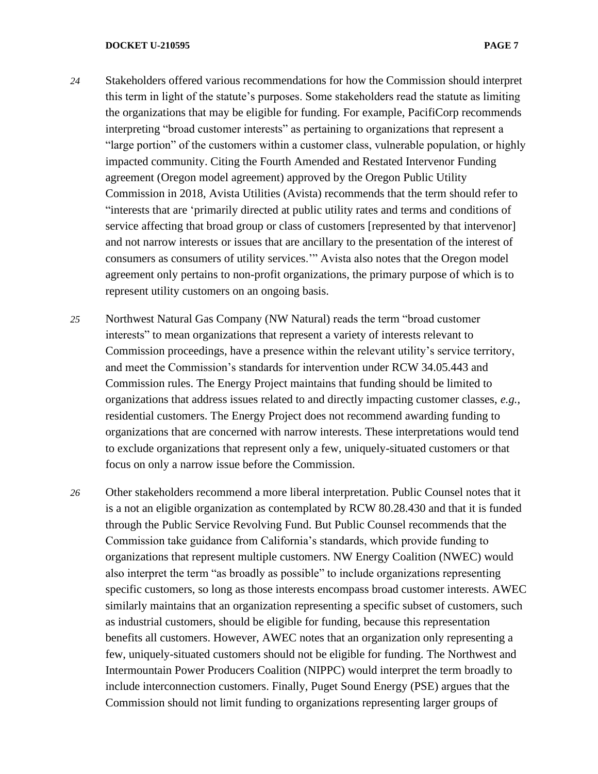- *24* Stakeholders offered various recommendations for how the Commission should interpret this term in light of the statute's purposes. Some stakeholders read the statute as limiting the organizations that may be eligible for funding. For example, PacifiCorp recommends interpreting "broad customer interests" as pertaining to organizations that represent a "large portion" of the customers within a customer class, vulnerable population, or highly impacted community. Citing the Fourth Amended and Restated Intervenor Funding agreement (Oregon model agreement) approved by the Oregon Public Utility Commission in 2018, Avista Utilities (Avista) recommends that the term should refer to "interests that are 'primarily directed at public utility rates and terms and conditions of service affecting that broad group or class of customers [represented by that intervenor] and not narrow interests or issues that are ancillary to the presentation of the interest of consumers as consumers of utility services.'" Avista also notes that the Oregon model agreement only pertains to non-profit organizations, the primary purpose of which is to represent utility customers on an ongoing basis.
- *25* Northwest Natural Gas Company (NW Natural) reads the term "broad customer interests" to mean organizations that represent a variety of interests relevant to Commission proceedings, have a presence within the relevant utility's service territory, and meet the Commission's standards for intervention under RCW 34.05.443 and Commission rules. The Energy Project maintains that funding should be limited to organizations that address issues related to and directly impacting customer classes, *e.g.*, residential customers. The Energy Project does not recommend awarding funding to organizations that are concerned with narrow interests. These interpretations would tend to exclude organizations that represent only a few, uniquely-situated customers or that focus on only a narrow issue before the Commission.
- *26* Other stakeholders recommend a more liberal interpretation. Public Counsel notes that it is a not an eligible organization as contemplated by RCW 80.28.430 and that it is funded through the Public Service Revolving Fund. But Public Counsel recommends that the Commission take guidance from California's standards, which provide funding to organizations that represent multiple customers. NW Energy Coalition (NWEC) would also interpret the term "as broadly as possible" to include organizations representing specific customers, so long as those interests encompass broad customer interests. AWEC similarly maintains that an organization representing a specific subset of customers, such as industrial customers, should be eligible for funding, because this representation benefits all customers. However, AWEC notes that an organization only representing a few, uniquely-situated customers should not be eligible for funding. The Northwest and Intermountain Power Producers Coalition (NIPPC) would interpret the term broadly to include interconnection customers. Finally, Puget Sound Energy (PSE) argues that the Commission should not limit funding to organizations representing larger groups of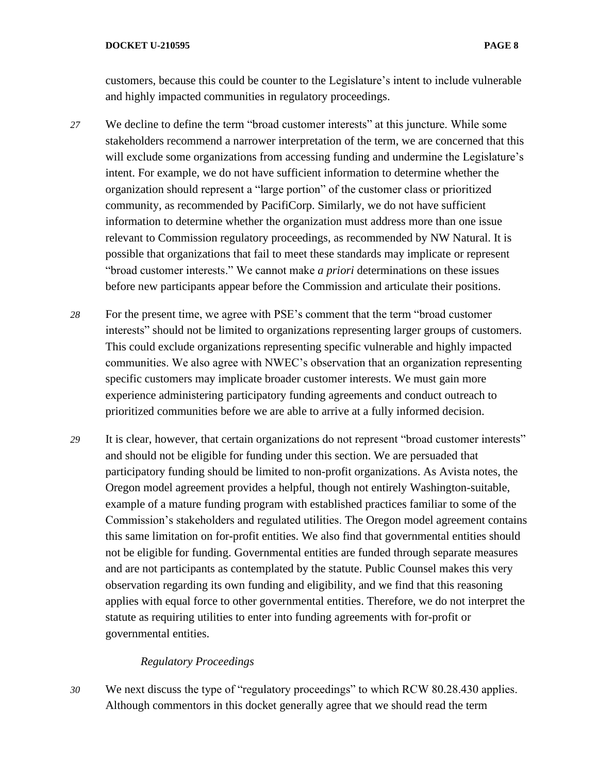customers, because this could be counter to the Legislature's intent to include vulnerable and highly impacted communities in regulatory proceedings.

- *27* We decline to define the term "broad customer interests" at this juncture. While some stakeholders recommend a narrower interpretation of the term, we are concerned that this will exclude some organizations from accessing funding and undermine the Legislature's intent. For example, we do not have sufficient information to determine whether the organization should represent a "large portion" of the customer class or prioritized community, as recommended by PacifiCorp. Similarly, we do not have sufficient information to determine whether the organization must address more than one issue relevant to Commission regulatory proceedings, as recommended by NW Natural. It is possible that organizations that fail to meet these standards may implicate or represent "broad customer interests." We cannot make *a priori* determinations on these issues before new participants appear before the Commission and articulate their positions.
- *28* For the present time, we agree with PSE's comment that the term "broad customer interests" should not be limited to organizations representing larger groups of customers. This could exclude organizations representing specific vulnerable and highly impacted communities. We also agree with NWEC's observation that an organization representing specific customers may implicate broader customer interests. We must gain more experience administering participatory funding agreements and conduct outreach to prioritized communities before we are able to arrive at a fully informed decision.
- *29* It is clear, however, that certain organizations do not represent "broad customer interests" and should not be eligible for funding under this section. We are persuaded that participatory funding should be limited to non-profit organizations. As Avista notes, the Oregon model agreement provides a helpful, though not entirely Washington-suitable, example of a mature funding program with established practices familiar to some of the Commission's stakeholders and regulated utilities. The Oregon model agreement contains this same limitation on for-profit entities. We also find that governmental entities should not be eligible for funding. Governmental entities are funded through separate measures and are not participants as contemplated by the statute. Public Counsel makes this very observation regarding its own funding and eligibility, and we find that this reasoning applies with equal force to other governmental entities. Therefore, we do not interpret the statute as requiring utilities to enter into funding agreements with for-profit or governmental entities.

### *Regulatory Proceedings*

*30* We next discuss the type of "regulatory proceedings" to which RCW 80.28.430 applies. Although commentors in this docket generally agree that we should read the term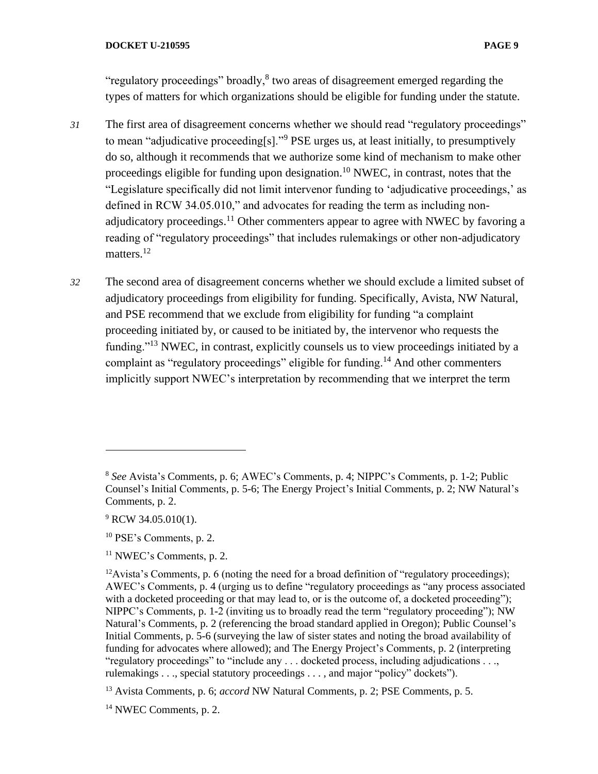"regulatory proceedings" broadly, $8$  two areas of disagreement emerged regarding the types of matters for which organizations should be eligible for funding under the statute.

- *31* The first area of disagreement concerns whether we should read "regulatory proceedings" to mean "adjudicative proceeding[s]."<sup>9</sup> PSE urges us, at least initially, to presumptively do so, although it recommends that we authorize some kind of mechanism to make other proceedings eligible for funding upon designation.<sup>10</sup> NWEC, in contrast, notes that the "Legislature specifically did not limit intervenor funding to 'adjudicative proceedings,' as defined in RCW 34.05.010," and advocates for reading the term as including nonadjudicatory proceedings.<sup>11</sup> Other commenters appear to agree with NWEC by favoring a reading of "regulatory proceedings" that includes rulemakings or other non-adjudicatory matters.<sup>12</sup>
- *32* The second area of disagreement concerns whether we should exclude a limited subset of adjudicatory proceedings from eligibility for funding. Specifically, Avista, NW Natural, and PSE recommend that we exclude from eligibility for funding "a complaint proceeding initiated by, or caused to be initiated by, the intervenor who requests the funding."<sup>13</sup> NWEC, in contrast, explicitly counsels us to view proceedings initiated by a complaint as "regulatory proceedings" eligible for funding.<sup>14</sup> And other commenters implicitly support NWEC's interpretation by recommending that we interpret the term

<sup>8</sup> *See* Avista's Comments, p. 6; AWEC's Comments, p. 4; NIPPC's Comments, p. 1-2; Public Counsel's Initial Comments, p. 5-6; The Energy Project's Initial Comments, p. 2; NW Natural's Comments, p. 2.

<sup>&</sup>lt;sup>9</sup> RCW 34.05.010(1).

<sup>10</sup> PSE's Comments, p. 2.

 $11$  NWEC's Comments, p. 2.

<sup>&</sup>lt;sup>12</sup>Avista's Comments, p. 6 (noting the need for a broad definition of "regulatory proceedings); AWEC's Comments, p. 4 (urging us to define "regulatory proceedings as "any process associated with a docketed proceeding or that may lead to, or is the outcome of, a docketed proceeding"); NIPPC's Comments, p. 1-2 (inviting us to broadly read the term "regulatory proceeding"); NW Natural's Comments, p. 2 (referencing the broad standard applied in Oregon); Public Counsel's Initial Comments, p. 5-6 (surveying the law of sister states and noting the broad availability of funding for advocates where allowed); and The Energy Project's Comments, p. 2 (interpreting "regulatory proceedings" to "include any . . . docketed process, including adjudications . . ., rulemakings . . ., special statutory proceedings . . . , and major "policy" dockets").

<sup>13</sup> Avista Comments, p. 6; *accord* NW Natural Comments, p. 2; PSE Comments, p. 5.

<sup>14</sup> NWEC Comments, p. 2.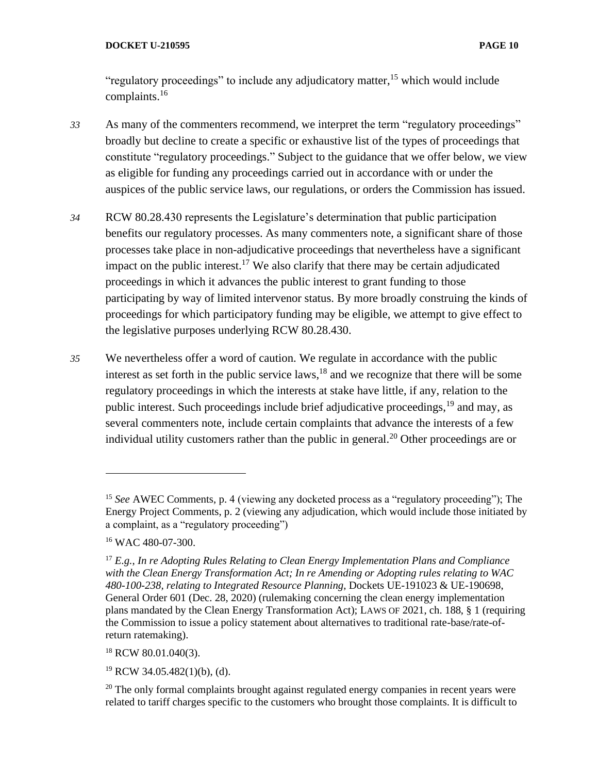"regulatory proceedings" to include any adjudicatory matter,  $15$  which would include complaints.<sup>16</sup>

- *33* As many of the commenters recommend, we interpret the term "regulatory proceedings" broadly but decline to create a specific or exhaustive list of the types of proceedings that constitute "regulatory proceedings." Subject to the guidance that we offer below, we view as eligible for funding any proceedings carried out in accordance with or under the auspices of the public service laws, our regulations, or orders the Commission has issued.
- *34* RCW 80.28.430 represents the Legislature's determination that public participation benefits our regulatory processes. As many commenters note, a significant share of those processes take place in non-adjudicative proceedings that nevertheless have a significant impact on the public interest.<sup>17</sup> We also clarify that there may be certain adjudicated proceedings in which it advances the public interest to grant funding to those participating by way of limited intervenor status. By more broadly construing the kinds of proceedings for which participatory funding may be eligible, we attempt to give effect to the legislative purposes underlying RCW 80.28.430.
- *35* We nevertheless offer a word of caution. We regulate in accordance with the public interest as set forth in the public service laws,  $18$  and we recognize that there will be some regulatory proceedings in which the interests at stake have little, if any, relation to the public interest. Such proceedings include brief adjudicative proceedings, <sup>19</sup> and may, as several commenters note, include certain complaints that advance the interests of a few individual utility customers rather than the public in general.<sup>20</sup> Other proceedings are or

<sup>18</sup> RCW 80.01.040(3).

 $19$  RCW 34.05.482(1)(b), (d).

<sup>&</sup>lt;sup>15</sup> See AWEC Comments, p. 4 (viewing any docketed process as a "regulatory proceeding"); The Energy Project Comments, p. 2 (viewing any adjudication, which would include those initiated by a complaint, as a "regulatory proceeding")

<sup>&</sup>lt;sup>16</sup> WAC 480-07-300.

<sup>17</sup> *E.g.*, *In re Adopting Rules Relating to Clean Energy Implementation Plans and Compliance with the Clean Energy Transformation Act; In re Amending or Adopting rules relating to WAC 480-100-238, relating to Integrated Resource Planning*, Dockets UE-191023 & UE-190698, General Order 601 (Dec. 28, 2020) (rulemaking concerning the clean energy implementation plans mandated by the Clean Energy Transformation Act); LAWS OF 2021, ch. 188, § 1 (requiring the Commission to issue a policy statement about alternatives to traditional rate-base/rate-ofreturn ratemaking).

<sup>&</sup>lt;sup>20</sup> The only formal complaints brought against regulated energy companies in recent years were related to tariff charges specific to the customers who brought those complaints. It is difficult to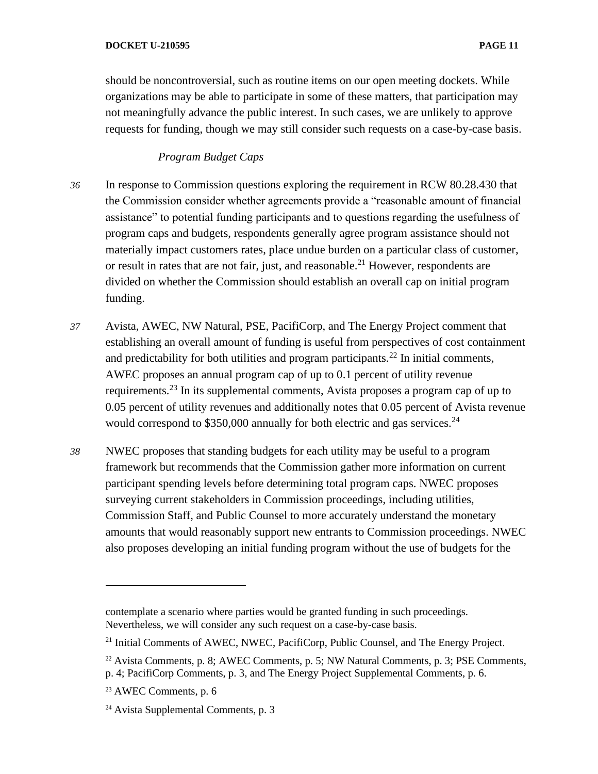should be noncontroversial, such as routine items on our open meeting dockets. While organizations may be able to participate in some of these matters, that participation may not meaningfully advance the public interest. In such cases, we are unlikely to approve requests for funding, though we may still consider such requests on a case-by-case basis.

# *Program Budget Caps*

- *36* In response to Commission questions exploring the requirement in RCW 80.28.430 that the Commission consider whether agreements provide a "reasonable amount of financial assistance" to potential funding participants and to questions regarding the usefulness of program caps and budgets, respondents generally agree program assistance should not materially impact customers rates, place undue burden on a particular class of customer, or result in rates that are not fair, just, and reasonable.<sup>21</sup> However, respondents are divided on whether the Commission should establish an overall cap on initial program funding.
- *37* Avista, AWEC, NW Natural, PSE, PacifiCorp, and The Energy Project comment that establishing an overall amount of funding is useful from perspectives of cost containment and predictability for both utilities and program participants.<sup>22</sup> In initial comments, AWEC proposes an annual program cap of up to 0.1 percent of utility revenue requirements.<sup>23</sup> In its supplemental comments, Avista proposes a program cap of up to 0.05 percent of utility revenues and additionally notes that 0.05 percent of Avista revenue would correspond to  $$350,000$  annually for both electric and gas services.<sup>24</sup>
- *38* NWEC proposes that standing budgets for each utility may be useful to a program framework but recommends that the Commission gather more information on current participant spending levels before determining total program caps. NWEC proposes surveying current stakeholders in Commission proceedings, including utilities, Commission Staff, and Public Counsel to more accurately understand the monetary amounts that would reasonably support new entrants to Commission proceedings. NWEC also proposes developing an initial funding program without the use of budgets for the

contemplate a scenario where parties would be granted funding in such proceedings. Nevertheless, we will consider any such request on a case-by-case basis.

<sup>&</sup>lt;sup>21</sup> Initial Comments of AWEC, NWEC, PacifiCorp, Public Counsel, and The Energy Project.

<sup>22</sup> Avista Comments, p. 8; AWEC Comments, p. 5; NW Natural Comments, p. 3; PSE Comments, p. 4; PacifiCorp Comments, p. 3, and The Energy Project Supplemental Comments, p. 6.

<sup>23</sup> AWEC Comments, p. 6

<sup>24</sup> Avista Supplemental Comments, p. 3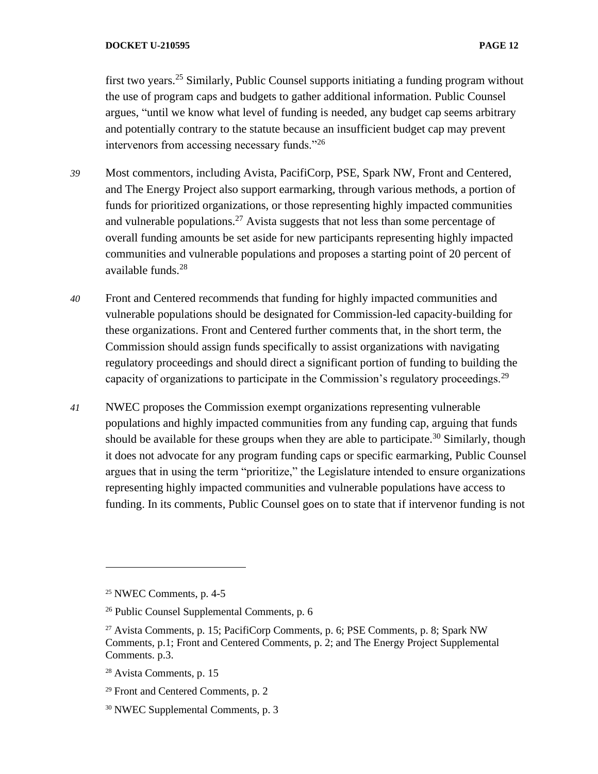first two years.<sup>25</sup> Similarly, Public Counsel supports initiating a funding program without the use of program caps and budgets to gather additional information. Public Counsel argues, "until we know what level of funding is needed, any budget cap seems arbitrary and potentially contrary to the statute because an insufficient budget cap may prevent intervenors from accessing necessary funds."<sup>26</sup>

- *39* Most commentors, including Avista, PacifiCorp, PSE, Spark NW, Front and Centered, and The Energy Project also support earmarking, through various methods, a portion of funds for prioritized organizations, or those representing highly impacted communities and vulnerable populations.<sup>27</sup> Avista suggests that not less than some percentage of overall funding amounts be set aside for new participants representing highly impacted communities and vulnerable populations and proposes a starting point of 20 percent of available funds.<sup>28</sup>
- *40* Front and Centered recommends that funding for highly impacted communities and vulnerable populations should be designated for Commission-led capacity-building for these organizations. Front and Centered further comments that, in the short term, the Commission should assign funds specifically to assist organizations with navigating regulatory proceedings and should direct a significant portion of funding to building the capacity of organizations to participate in the Commission's regulatory proceedings.<sup>29</sup>
- *41* NWEC proposes the Commission exempt organizations representing vulnerable populations and highly impacted communities from any funding cap, arguing that funds should be available for these groups when they are able to participate.<sup>30</sup> Similarly, though it does not advocate for any program funding caps or specific earmarking, Public Counsel argues that in using the term "prioritize," the Legislature intended to ensure organizations representing highly impacted communities and vulnerable populations have access to funding. In its comments, Public Counsel goes on to state that if intervenor funding is not

<sup>25</sup> NWEC Comments, p. 4-5

<sup>26</sup> Public Counsel Supplemental Comments, p. 6

<sup>27</sup> Avista Comments, p. 15; PacifiCorp Comments, p. 6; PSE Comments, p. 8; Spark NW Comments, p.1; Front and Centered Comments, p. 2; and The Energy Project Supplemental Comments. p.3.

<sup>28</sup> Avista Comments, p. 15

<sup>29</sup> Front and Centered Comments, p. 2

<sup>30</sup> NWEC Supplemental Comments, p. 3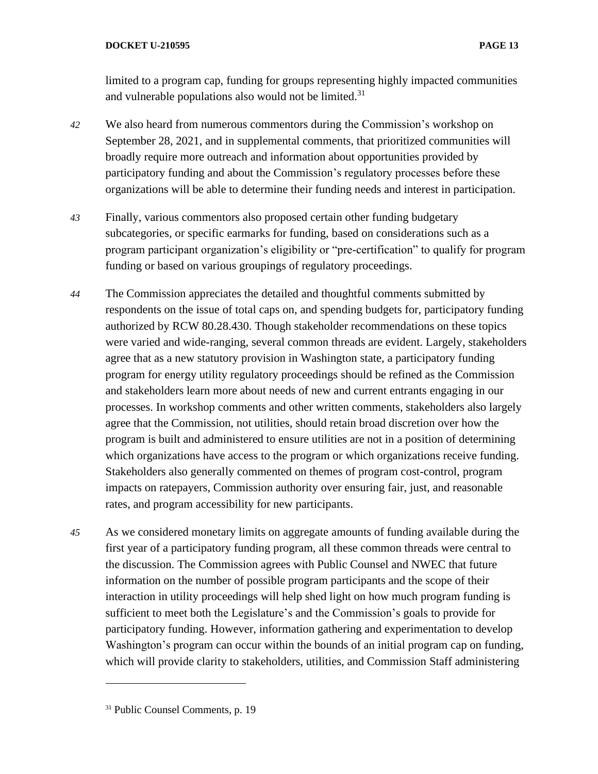limited to a program cap, funding for groups representing highly impacted communities and vulnerable populations also would not be limited. $31$ 

- *42* We also heard from numerous commentors during the Commission's workshop on September 28, 2021, and in supplemental comments, that prioritized communities will broadly require more outreach and information about opportunities provided by participatory funding and about the Commission's regulatory processes before these organizations will be able to determine their funding needs and interest in participation.
- *43* Finally, various commentors also proposed certain other funding budgetary subcategories, or specific earmarks for funding, based on considerations such as a program participant organization's eligibility or "pre-certification" to qualify for program funding or based on various groupings of regulatory proceedings.
- *44* The Commission appreciates the detailed and thoughtful comments submitted by respondents on the issue of total caps on, and spending budgets for, participatory funding authorized by RCW 80.28.430. Though stakeholder recommendations on these topics were varied and wide-ranging, several common threads are evident. Largely, stakeholders agree that as a new statutory provision in Washington state, a participatory funding program for energy utility regulatory proceedings should be refined as the Commission and stakeholders learn more about needs of new and current entrants engaging in our processes. In workshop comments and other written comments, stakeholders also largely agree that the Commission, not utilities, should retain broad discretion over how the program is built and administered to ensure utilities are not in a position of determining which organizations have access to the program or which organizations receive funding. Stakeholders also generally commented on themes of program cost-control, program impacts on ratepayers, Commission authority over ensuring fair, just, and reasonable rates, and program accessibility for new participants.
- *45* As we considered monetary limits on aggregate amounts of funding available during the first year of a participatory funding program, all these common threads were central to the discussion. The Commission agrees with Public Counsel and NWEC that future information on the number of possible program participants and the scope of their interaction in utility proceedings will help shed light on how much program funding is sufficient to meet both the Legislature's and the Commission's goals to provide for participatory funding. However, information gathering and experimentation to develop Washington's program can occur within the bounds of an initial program cap on funding, which will provide clarity to stakeholders, utilities, and Commission Staff administering

<sup>31</sup> Public Counsel Comments, p. 19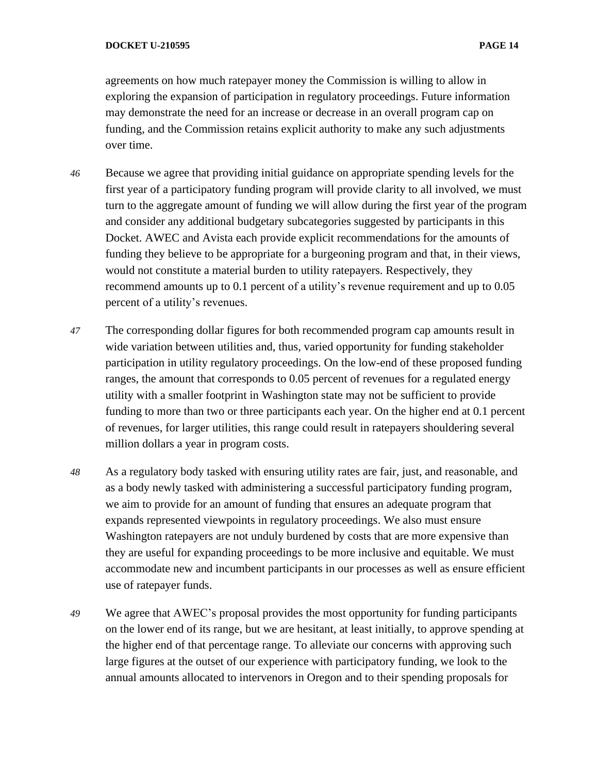agreements on how much ratepayer money the Commission is willing to allow in exploring the expansion of participation in regulatory proceedings. Future information may demonstrate the need for an increase or decrease in an overall program cap on funding, and the Commission retains explicit authority to make any such adjustments over time.

- *46* Because we agree that providing initial guidance on appropriate spending levels for the first year of a participatory funding program will provide clarity to all involved, we must turn to the aggregate amount of funding we will allow during the first year of the program and consider any additional budgetary subcategories suggested by participants in this Docket. AWEC and Avista each provide explicit recommendations for the amounts of funding they believe to be appropriate for a burgeoning program and that, in their views, would not constitute a material burden to utility ratepayers. Respectively, they recommend amounts up to 0.1 percent of a utility's revenue requirement and up to 0.05 percent of a utility's revenues.
- *47* The corresponding dollar figures for both recommended program cap amounts result in wide variation between utilities and, thus, varied opportunity for funding stakeholder participation in utility regulatory proceedings. On the low-end of these proposed funding ranges, the amount that corresponds to 0.05 percent of revenues for a regulated energy utility with a smaller footprint in Washington state may not be sufficient to provide funding to more than two or three participants each year. On the higher end at 0.1 percent of revenues, for larger utilities, this range could result in ratepayers shouldering several million dollars a year in program costs.
- *48* As a regulatory body tasked with ensuring utility rates are fair, just, and reasonable, and as a body newly tasked with administering a successful participatory funding program, we aim to provide for an amount of funding that ensures an adequate program that expands represented viewpoints in regulatory proceedings. We also must ensure Washington ratepayers are not unduly burdened by costs that are more expensive than they are useful for expanding proceedings to be more inclusive and equitable. We must accommodate new and incumbent participants in our processes as well as ensure efficient use of ratepayer funds.
- *49* We agree that AWEC's proposal provides the most opportunity for funding participants on the lower end of its range, but we are hesitant, at least initially, to approve spending at the higher end of that percentage range. To alleviate our concerns with approving such large figures at the outset of our experience with participatory funding, we look to the annual amounts allocated to intervenors in Oregon and to their spending proposals for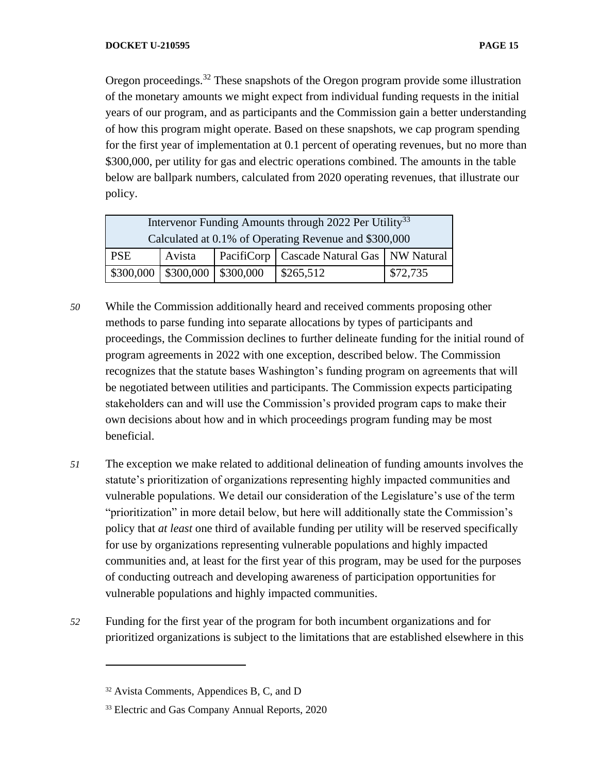Oregon proceedings.<sup>32</sup> These snapshots of the Oregon program provide some illustration of the monetary amounts we might expect from individual funding requests in the initial years of our program, and as participants and the Commission gain a better understanding of how this program might operate. Based on these snapshots, we cap program spending for the first year of implementation at 0.1 percent of operating revenues, but no more than \$300,000, per utility for gas and electric operations combined. The amounts in the table below are ballpark numbers, calculated from 2020 operating revenues, that illustrate our policy.

| Intervenor Funding Amounts through 2022 Per Utility <sup>33</sup> |                                                       |  |                                               |          |
|-------------------------------------------------------------------|-------------------------------------------------------|--|-----------------------------------------------|----------|
| Calculated at 0.1% of Operating Revenue and \$300,000             |                                                       |  |                                               |          |
| PSE                                                               | Avista                                                |  | PacifiCorp   Cascade Natural Gas   NW Natural |          |
|                                                                   | $\vert$ \$300,000 $\vert$ \$300,000 $\vert$ \$300,000 |  | \$265,512                                     | \$72,735 |

- *50* While the Commission additionally heard and received comments proposing other methods to parse funding into separate allocations by types of participants and proceedings, the Commission declines to further delineate funding for the initial round of program agreements in 2022 with one exception, described below. The Commission recognizes that the statute bases Washington's funding program on agreements that will be negotiated between utilities and participants. The Commission expects participating stakeholders can and will use the Commission's provided program caps to make their own decisions about how and in which proceedings program funding may be most beneficial.
- *51* The exception we make related to additional delineation of funding amounts involves the statute's prioritization of organizations representing highly impacted communities and vulnerable populations. We detail our consideration of the Legislature's use of the term "prioritization" in more detail below, but here will additionally state the Commission's policy that *at least* one third of available funding per utility will be reserved specifically for use by organizations representing vulnerable populations and highly impacted communities and, at least for the first year of this program, may be used for the purposes of conducting outreach and developing awareness of participation opportunities for vulnerable populations and highly impacted communities.
- *52* Funding for the first year of the program for both incumbent organizations and for prioritized organizations is subject to the limitations that are established elsewhere in this

<sup>&</sup>lt;sup>32</sup> Avista Comments, Appendices B, C, and D

<sup>33</sup> Electric and Gas Company Annual Reports, 2020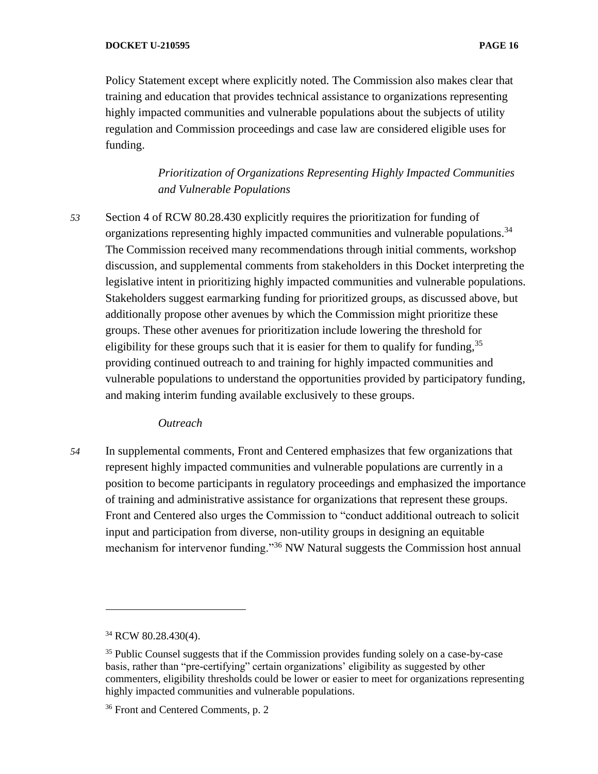Policy Statement except where explicitly noted. The Commission also makes clear that training and education that provides technical assistance to organizations representing highly impacted communities and vulnerable populations about the subjects of utility regulation and Commission proceedings and case law are considered eligible uses for funding.

> *Prioritization of Organizations Representing Highly Impacted Communities and Vulnerable Populations*

*53* Section 4 of RCW 80.28.430 explicitly requires the prioritization for funding of organizations representing highly impacted communities and vulnerable populations.<sup>34</sup> The Commission received many recommendations through initial comments, workshop discussion, and supplemental comments from stakeholders in this Docket interpreting the legislative intent in prioritizing highly impacted communities and vulnerable populations. Stakeholders suggest earmarking funding for prioritized groups, as discussed above, but additionally propose other avenues by which the Commission might prioritize these groups. These other avenues for prioritization include lowering the threshold for eligibility for these groups such that it is easier for them to qualify for funding,  $35$ providing continued outreach to and training for highly impacted communities and vulnerable populations to understand the opportunities provided by participatory funding, and making interim funding available exclusively to these groups.

### *Outreach*

*54* In supplemental comments, Front and Centered emphasizes that few organizations that represent highly impacted communities and vulnerable populations are currently in a position to become participants in regulatory proceedings and emphasized the importance of training and administrative assistance for organizations that represent these groups. Front and Centered also urges the Commission to "conduct additional outreach to solicit input and participation from diverse, non-utility groups in designing an equitable mechanism for intervenor funding."<sup>36</sup> NW Natural suggests the Commission host annual

<sup>&</sup>lt;sup>34</sup> RCW 80.28.430(4).

<sup>&</sup>lt;sup>35</sup> Public Counsel suggests that if the Commission provides funding solely on a case-by-case basis, rather than "pre-certifying" certain organizations' eligibility as suggested by other commenters, eligibility thresholds could be lower or easier to meet for organizations representing highly impacted communities and vulnerable populations.

<sup>&</sup>lt;sup>36</sup> Front and Centered Comments, p. 2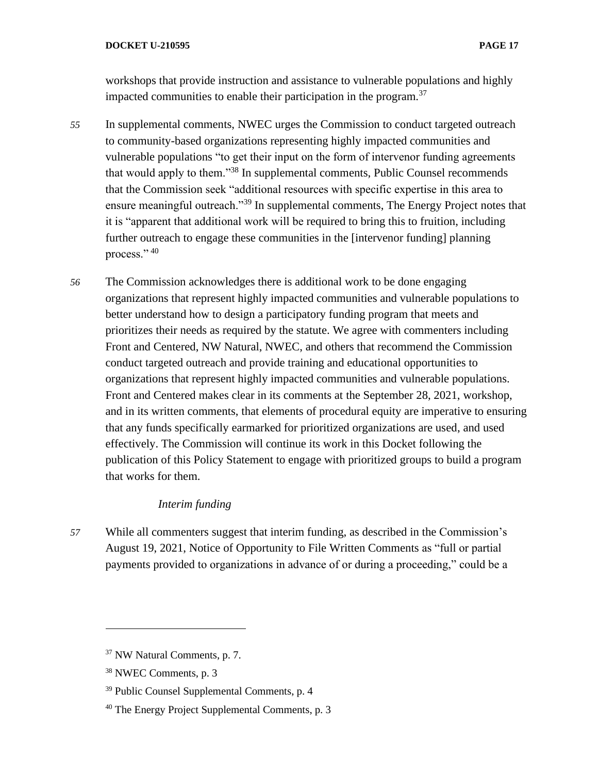workshops that provide instruction and assistance to vulnerable populations and highly impacted communities to enable their participation in the program. $37$ 

- *55* In supplemental comments, NWEC urges the Commission to conduct targeted outreach to community-based organizations representing highly impacted communities and vulnerable populations "to get their input on the form of intervenor funding agreements that would apply to them."<sup>38</sup> In supplemental comments, Public Counsel recommends that the Commission seek "additional resources with specific expertise in this area to ensure meaningful outreach."<sup>39</sup> In supplemental comments, The Energy Project notes that it is "apparent that additional work will be required to bring this to fruition, including further outreach to engage these communities in the [intervenor funding] planning process." 40
- *56* The Commission acknowledges there is additional work to be done engaging organizations that represent highly impacted communities and vulnerable populations to better understand how to design a participatory funding program that meets and prioritizes their needs as required by the statute. We agree with commenters including Front and Centered, NW Natural, NWEC, and others that recommend the Commission conduct targeted outreach and provide training and educational opportunities to organizations that represent highly impacted communities and vulnerable populations. Front and Centered makes clear in its comments at the September 28, 2021, workshop, and in its written comments, that elements of procedural equity are imperative to ensuring that any funds specifically earmarked for prioritized organizations are used, and used effectively. The Commission will continue its work in this Docket following the publication of this Policy Statement to engage with prioritized groups to build a program that works for them.

### *Interim funding*

*57* While all commenters suggest that interim funding, as described in the Commission's August 19, 2021, Notice of Opportunity to File Written Comments as "full or partial payments provided to organizations in advance of or during a proceeding," could be a

<sup>37</sup> NW Natural Comments, p. 7.

<sup>38</sup> NWEC Comments, p. 3

<sup>39</sup> Public Counsel Supplemental Comments, p. 4

<sup>40</sup> The Energy Project Supplemental Comments, p. 3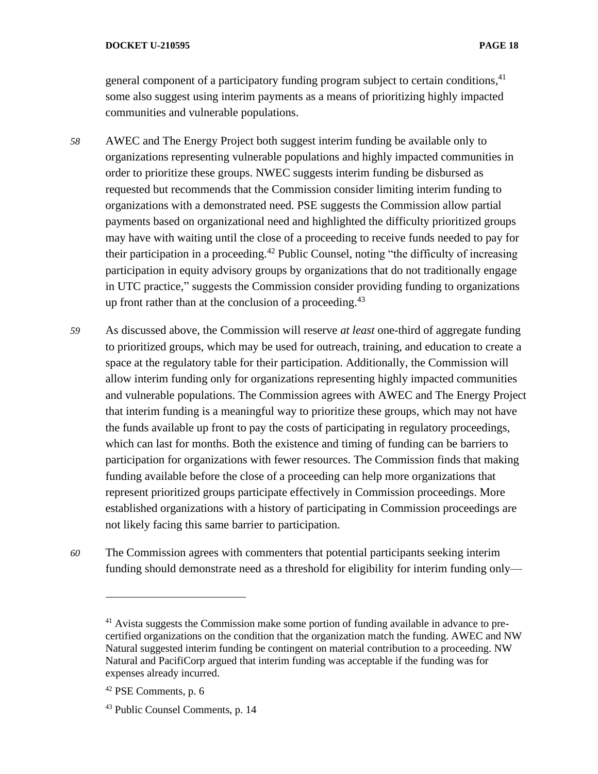general component of a participatory funding program subject to certain conditions,<sup>41</sup> some also suggest using interim payments as a means of prioritizing highly impacted communities and vulnerable populations.

- *58* AWEC and The Energy Project both suggest interim funding be available only to organizations representing vulnerable populations and highly impacted communities in order to prioritize these groups. NWEC suggests interim funding be disbursed as requested but recommends that the Commission consider limiting interim funding to organizations with a demonstrated need. PSE suggests the Commission allow partial payments based on organizational need and highlighted the difficulty prioritized groups may have with waiting until the close of a proceeding to receive funds needed to pay for their participation in a proceeding.<sup>42</sup> Public Counsel, noting "the difficulty of increasing participation in equity advisory groups by organizations that do not traditionally engage in UTC practice," suggests the Commission consider providing funding to organizations up front rather than at the conclusion of a proceeding. $43$
- *59* As discussed above, the Commission will reserve *at least* one-third of aggregate funding to prioritized groups, which may be used for outreach, training, and education to create a space at the regulatory table for their participation. Additionally, the Commission will allow interim funding only for organizations representing highly impacted communities and vulnerable populations. The Commission agrees with AWEC and The Energy Project that interim funding is a meaningful way to prioritize these groups, which may not have the funds available up front to pay the costs of participating in regulatory proceedings, which can last for months. Both the existence and timing of funding can be barriers to participation for organizations with fewer resources. The Commission finds that making funding available before the close of a proceeding can help more organizations that represent prioritized groups participate effectively in Commission proceedings. More established organizations with a history of participating in Commission proceedings are not likely facing this same barrier to participation.
- *60* The Commission agrees with commenters that potential participants seeking interim funding should demonstrate need as a threshold for eligibility for interim funding only—

<sup>&</sup>lt;sup>41</sup> Avista suggests the Commission make some portion of funding available in advance to precertified organizations on the condition that the organization match the funding. AWEC and NW Natural suggested interim funding be contingent on material contribution to a proceeding. NW Natural and PacifiCorp argued that interim funding was acceptable if the funding was for expenses already incurred.

<sup>42</sup> PSE Comments, p. 6

<sup>43</sup> Public Counsel Comments, p. 14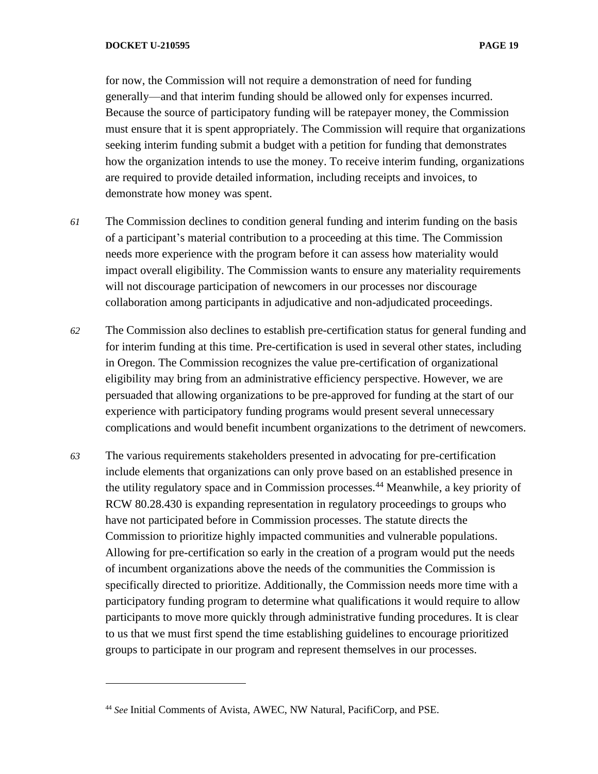for now, the Commission will not require a demonstration of need for funding generally—and that interim funding should be allowed only for expenses incurred. Because the source of participatory funding will be ratepayer money, the Commission must ensure that it is spent appropriately. The Commission will require that organizations seeking interim funding submit a budget with a petition for funding that demonstrates how the organization intends to use the money. To receive interim funding, organizations are required to provide detailed information, including receipts and invoices, to demonstrate how money was spent.

- *61* The Commission declines to condition general funding and interim funding on the basis of a participant's material contribution to a proceeding at this time. The Commission needs more experience with the program before it can assess how materiality would impact overall eligibility. The Commission wants to ensure any materiality requirements will not discourage participation of newcomers in our processes nor discourage collaboration among participants in adjudicative and non-adjudicated proceedings.
- *62* The Commission also declines to establish pre-certification status for general funding and for interim funding at this time. Pre-certification is used in several other states, including in Oregon. The Commission recognizes the value pre-certification of organizational eligibility may bring from an administrative efficiency perspective. However, we are persuaded that allowing organizations to be pre-approved for funding at the start of our experience with participatory funding programs would present several unnecessary complications and would benefit incumbent organizations to the detriment of newcomers.
- *63* The various requirements stakeholders presented in advocating for pre-certification include elements that organizations can only prove based on an established presence in the utility regulatory space and in Commission processes.<sup>44</sup> Meanwhile, a key priority of RCW 80.28.430 is expanding representation in regulatory proceedings to groups who have not participated before in Commission processes. The statute directs the Commission to prioritize highly impacted communities and vulnerable populations. Allowing for pre-certification so early in the creation of a program would put the needs of incumbent organizations above the needs of the communities the Commission is specifically directed to prioritize. Additionally, the Commission needs more time with a participatory funding program to determine what qualifications it would require to allow participants to move more quickly through administrative funding procedures. It is clear to us that we must first spend the time establishing guidelines to encourage prioritized groups to participate in our program and represent themselves in our processes.

<sup>44</sup> *See* Initial Comments of Avista, AWEC, NW Natural, PacifiCorp, and PSE.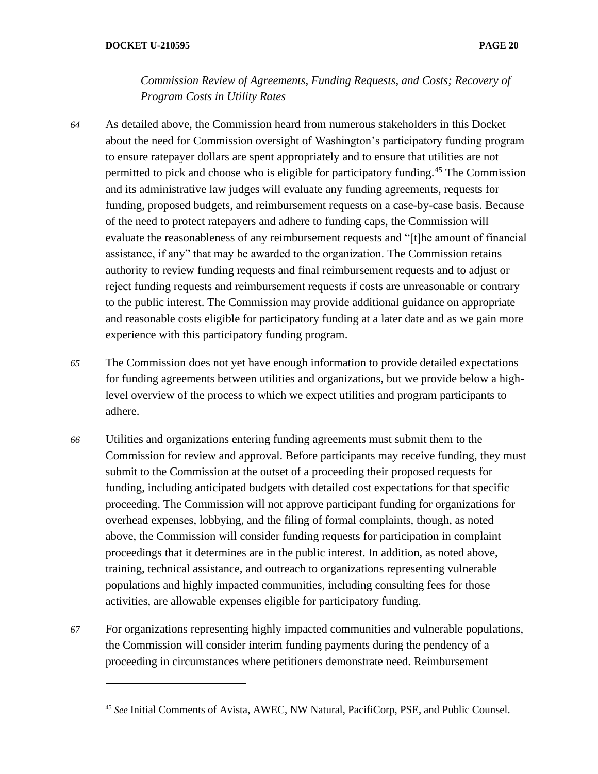*Commission Review of Agreements, Funding Requests, and Costs; Recovery of Program Costs in Utility Rates*

- *64* As detailed above, the Commission heard from numerous stakeholders in this Docket about the need for Commission oversight of Washington's participatory funding program to ensure ratepayer dollars are spent appropriately and to ensure that utilities are not permitted to pick and choose who is eligible for participatory funding.<sup>45</sup> The Commission and its administrative law judges will evaluate any funding agreements, requests for funding, proposed budgets, and reimbursement requests on a case-by-case basis. Because of the need to protect ratepayers and adhere to funding caps, the Commission will evaluate the reasonableness of any reimbursement requests and "[t]he amount of financial assistance, if any" that may be awarded to the organization. The Commission retains authority to review funding requests and final reimbursement requests and to adjust or reject funding requests and reimbursement requests if costs are unreasonable or contrary to the public interest. The Commission may provide additional guidance on appropriate and reasonable costs eligible for participatory funding at a later date and as we gain more experience with this participatory funding program.
- *65* The Commission does not yet have enough information to provide detailed expectations for funding agreements between utilities and organizations, but we provide below a highlevel overview of the process to which we expect utilities and program participants to adhere.
- *66* Utilities and organizations entering funding agreements must submit them to the Commission for review and approval. Before participants may receive funding, they must submit to the Commission at the outset of a proceeding their proposed requests for funding, including anticipated budgets with detailed cost expectations for that specific proceeding. The Commission will not approve participant funding for organizations for overhead expenses, lobbying, and the filing of formal complaints, though, as noted above, the Commission will consider funding requests for participation in complaint proceedings that it determines are in the public interest. In addition, as noted above, training, technical assistance, and outreach to organizations representing vulnerable populations and highly impacted communities, including consulting fees for those activities, are allowable expenses eligible for participatory funding.
- *67* For organizations representing highly impacted communities and vulnerable populations, the Commission will consider interim funding payments during the pendency of a proceeding in circumstances where petitioners demonstrate need. Reimbursement

<sup>45</sup> *See* Initial Comments of Avista, AWEC, NW Natural, PacifiCorp, PSE, and Public Counsel.